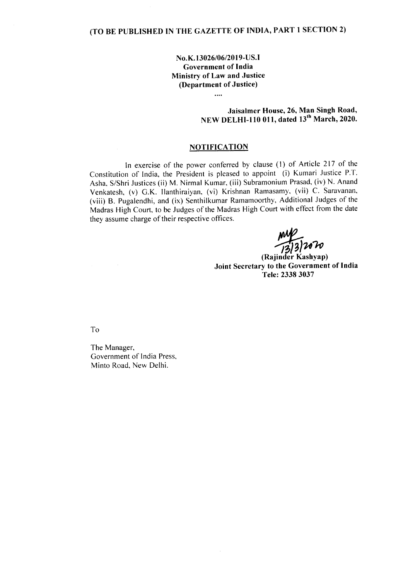## **NO.K.13026/06/2019-US.I Government of India Ministry of Law and Justice (Department of Justice)**

 $\cdots$ 

## **Jaisalmer House, 26, Man Singh Road, NEW DELHI-110 011, dated** is" **March, 2020.**

## **NOTIFICATION**

**In** exercise of the power conferred by clause (I) of Article 217 of the Constitution of India, the President is pleased to appoint (i) Kumari Justice P.T. Asha, S/Shri Justices (ii) M. Nirrnal Kumar. (iii) Subramonium Prasad, (iv) N. Anand Venkatesh, (v) G.K. llanthiraiyan, (vi) Krishnan Ramasamy, (vii) c. Saravanan, (viii) B. Pugalendhi, and (ix) Senthilkumar Ramamoorthy, Additional Judges of the Madras High Court, to be Judges of the Madras High Court with effect from the date they assume charge of their respective offices.

 $\frac{1}{2}$ <sup>2</sup>/2020

**(Rajinder Kashyap) Joint Secretary to the Government of India Tele: 23383037**

To

The Manager, Government of India Press, Minto Road, New Delhi.